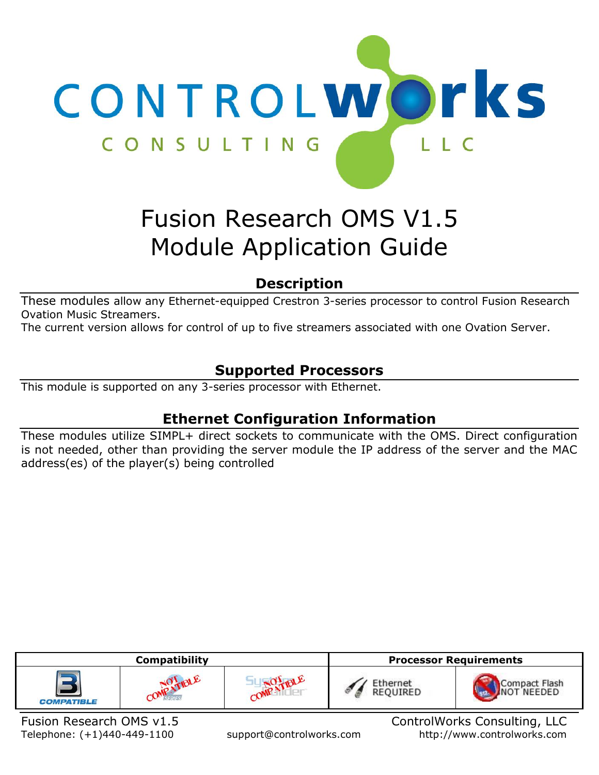

# Fusion Research OMS V1.5 Module Application Guide

# **Description**

These modules allow any Ethernet-equipped Crestron 3-series processor to control Fusion Research Ovation Music Streamers.

The current version allows for control of up to five streamers associated with one Ovation Server.

# **Supported Processors**

This module is supported on any 3-series processor with Ethernet.

# **Ethernet Configuration Information**

These modules utilize SIMPL+ direct sockets to communicate with the OMS. Direct configuration is not needed, other than providing the server module the IP address of the server and the MAC address(es) of the player(s) being controlled

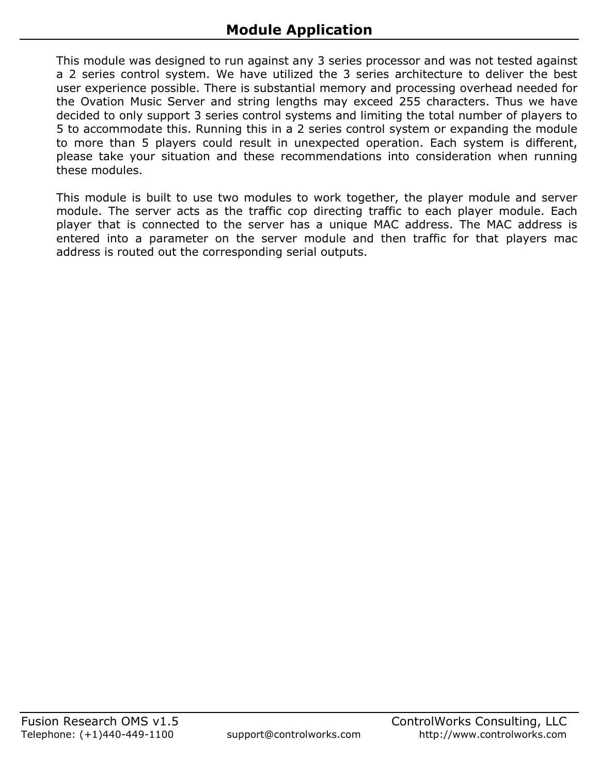This module was designed to run against any 3 series processor and was not tested against a 2 series control system. We have utilized the 3 series architecture to deliver the best user experience possible. There is substantial memory and processing overhead needed for the Ovation Music Server and string lengths may exceed 255 characters. Thus we have decided to only support 3 series control systems and limiting the total number of players to 5 to accommodate this. Running this in a 2 series control system or expanding the module to more than 5 players could result in unexpected operation. Each system is different, please take your situation and these recommendations into consideration when running these modules.

This module is built to use two modules to work together, the player module and server module. The server acts as the traffic cop directing traffic to each player module. Each player that is connected to the server has a unique MAC address. The MAC address is entered into a parameter on the server module and then traffic for that players mac address is routed out the corresponding serial outputs.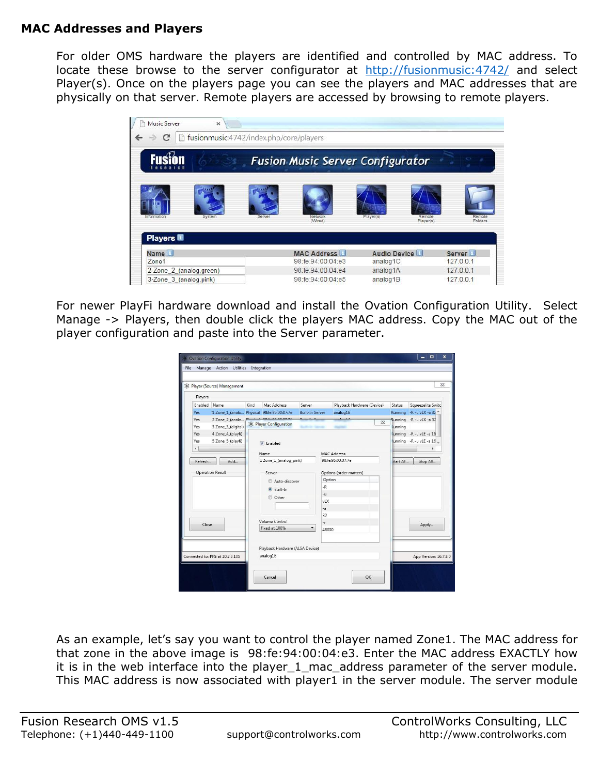### **MAC Addresses and Players**

For older OMS hardware the players are identified and controlled by MAC address. To locate these browse to the server configurator at <http://fusionmusic:4742/> and select Player(s). Once on the players page you can see the players and MAC addresses that are physically on that server. Remote players are accessed by browsing to remote players.



For newer PlayFi hardware download and install the Ovation Configuration Utility. Select Manage -> Players, then double click the players MAC address. Copy the MAC out of the player configuration and paste into the Server parameter.

|                                    | 涂 Player (Source) Management               |          |                                 |                        |                            |          |               | $\Sigma$                                          |
|------------------------------------|--------------------------------------------|----------|---------------------------------|------------------------|----------------------------|----------|---------------|---------------------------------------------------|
| Players                            |                                            |          |                                 |                        |                            |          |               |                                                   |
| Enabled                            | Name                                       | Kind     | Mac Address                     | Server                 | Playback Hardware (Device) |          | <b>Status</b> | Squeezelite Switc                                 |
| <b>Yes</b>                         | 1 Zone_1_(analo Physical 98:fe:95:00:07:7e |          |                                 | <b>Built-In Server</b> | analog1B                   |          | Running       | $-R - u$ vLX -a 32 $A$                            |
| <b>Yes</b><br>Yes                  | 2 Zone 2 (analo<br>3 Zone_3_(digital)      |          | SR Player Configuration         | $n = 1$                |                            | $\Sigma$ | tunning       | Running - R -u vLX -a 32                          |
| Yes<br>Yes<br>$\epsilon$           | 4 Zone_4_(playfi)<br>5 Zone_5_(playfi)     |          | V Enabled                       |                        |                            |          |               | unning -R -u vLE -a 16<br>tunning -R -u vLE -a 16 |
|                                    |                                            |          | Name                            |                        | <b>MAC Address</b>         |          |               |                                                   |
| Refresh<br>Add<br>Operation Result |                                            |          | 1 Zone_1_(analog_pink)          |                        | 98:fe:95:00:07:7e          |          | Start All     | Stop All                                          |
|                                    |                                            |          | Server                          |                        | Options (order matters)    |          |               |                                                   |
|                                    |                                            |          | Auto-discover                   |                        | Option                     |          |               |                                                   |
|                                    |                                            |          | <b>O</b> Built-In               |                        | $-R$                       |          |               |                                                   |
|                                    |                                            |          | C Other                         |                        | $-11$                      |          |               |                                                   |
|                                    |                                            |          |                                 |                        | vl X                       |          |               |                                                   |
|                                    |                                            |          |                                 |                        | $-a$                       |          |               |                                                   |
|                                    |                                            |          | Volume Control                  |                        | 32                         |          |               |                                                   |
| Close                              |                                            |          | Fixed at 100%                   | -r.<br>۰               | 48000                      |          |               | Apply                                             |
|                                    |                                            |          |                                 |                        |                            |          |               |                                                   |
|                                    |                                            |          | Playback Hardware (ALSA Device) |                        |                            |          |               |                                                   |
| Connected to: PFS at 10.2.3.105    |                                            | analog1B |                                 |                        | App Version: 16.7.8.0      |          |               |                                                   |

As an example, let's say you want to control the player named Zone1. The MAC address for that zone in the above image is 98:fe:94:00:04:e3. Enter the MAC address EXACTLY how it is in the web interface into the player\_1\_mac\_address parameter of the server module. This MAC address is now associated with player1 in the server module. The server module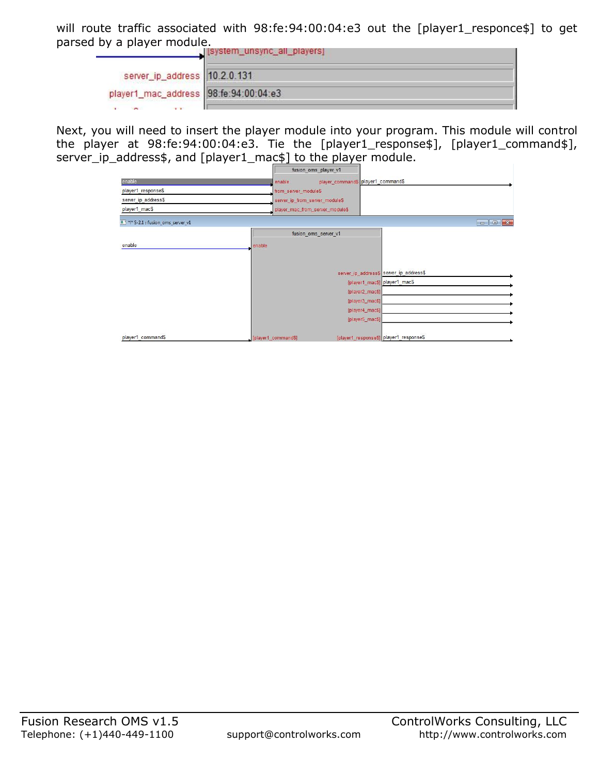will route traffic associated with 98:fe:94:00:04:e3 out the [player1\_responce\$] to get parsed by a player module.

|                                       | [system_unsync_all_players] |
|---------------------------------------|-----------------------------|
| server_ip_address 10.2.0.131          |                             |
| player1_mac_address 98:fe:94:00:04:e3 |                             |
| $\sim$                                |                             |

Next, you will need to insert the player module into your program. This module will control the player at 98:fe:94:00:04:e3. Tie the [player1\_response\$], [player1\_command\$], server\_ip\_address\$, and [player1\_mac\$] to the player module.

| . .<br>. .                           |                                 | fusion_oms_player_v1               |                                         |                                                                                                                 |
|--------------------------------------|---------------------------------|------------------------------------|-----------------------------------------|-----------------------------------------------------------------------------------------------------------------|
| enable                               | enable                          | player_command\$ player1_command\$ |                                         |                                                                                                                 |
| player1_response\$                   | from_server_module\$            |                                    |                                         |                                                                                                                 |
| server_ip_address\$                  | server_ip_from_server_module\$  |                                    |                                         |                                                                                                                 |
| player1_mac\$                        | player_mac_from_server_module\$ |                                    |                                         |                                                                                                                 |
| # ' *!* S-2.1 : fusion_oms_server_v1 |                                 |                                    |                                         | $\begin{array}{c c c c c} \hline \multicolumn{1}{c }{\mathbf{B}} & \multicolumn{1}{c }{\mathbf{X}} \end{array}$ |
|                                      |                                 | fusion_oms_server_v1               |                                         |                                                                                                                 |
| enable                               | enable                          |                                    |                                         |                                                                                                                 |
|                                      |                                 |                                    |                                         |                                                                                                                 |
|                                      |                                 |                                    |                                         |                                                                                                                 |
|                                      |                                 |                                    | server_ip_address\$ server_ip_address\$ |                                                                                                                 |
|                                      |                                 |                                    | [player1_mac\$] player1_mac\$           |                                                                                                                 |
|                                      |                                 | [player2_mac\$]                    |                                         |                                                                                                                 |
|                                      |                                 | [player3_mac\$]                    |                                         |                                                                                                                 |
|                                      |                                 | [player4_mac\$]                    |                                         |                                                                                                                 |
|                                      |                                 | [player5_mac\$]                    |                                         |                                                                                                                 |
| player1_command\$                    | [player1_command\$]             |                                    | [player1_response\$] player1_response\$ |                                                                                                                 |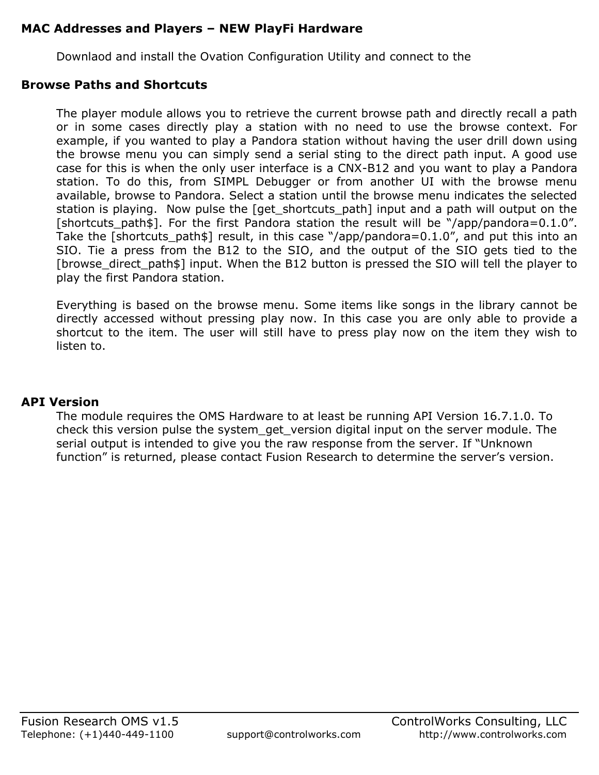### **MAC Addresses and Players – NEW PlayFi Hardware**

Downlaod and install the Ovation Configuration Utility and connect to the

#### **Browse Paths and Shortcuts**

The player module allows you to retrieve the current browse path and directly recall a path or in some cases directly play a station with no need to use the browse context. For example, if you wanted to play a Pandora station without having the user drill down using the browse menu you can simply send a serial sting to the direct path input. A good use case for this is when the only user interface is a CNX-B12 and you want to play a Pandora station. To do this, from SIMPL Debugger or from another UI with the browse menu available, browse to Pandora. Select a station until the browse menu indicates the selected station is playing. Now pulse the [get\_shortcuts\_path] input and a path will output on the [shortcuts\_path\$]. For the first Pandora station the result will be "/app/pandora=0.1.0". Take the [shortcuts\_path\$] result, in this case "/app/pandora=0.1.0", and put this into an SIO. Tie a press from the B12 to the SIO, and the output of the SIO gets tied to the [browse\_direct\_path\$] input. When the B12 button is pressed the SIO will tell the player to play the first Pandora station.

Everything is based on the browse menu. Some items like songs in the library cannot be directly accessed without pressing play now. In this case you are only able to provide a shortcut to the item. The user will still have to press play now on the item they wish to listen to.

#### **API Version**

The module requires the OMS Hardware to at least be running API Version 16.7.1.0. To check this version pulse the system\_get\_version digital input on the server module. The serial output is intended to give you the raw response from the server. If "Unknown function" is returned, please contact Fusion Research to determine the server's version.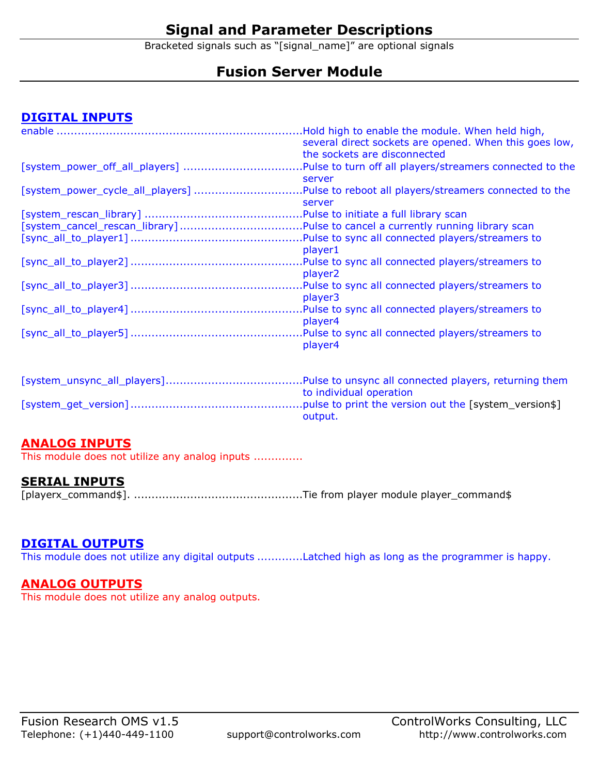# **Signal and Parameter Descriptions**

Bracketed signals such as "[signal\_name]" are optional signals

# **Fusion Server Module**

## **DIGITAL INPUTS**

|                                  | Hold high to enable the module. When held high,          |
|----------------------------------|----------------------------------------------------------|
|                                  | several direct sockets are opened. When this goes low,   |
|                                  | the sockets are disconnected                             |
|                                  | Pulse to turn off all players/streamers connected to the |
|                                  | server                                                   |
| [system_power_cycle_all_players] | Pulse to reboot all players/streamers connected to the   |
|                                  | server                                                   |
|                                  | .Pulse to initiate a full library scan                   |
|                                  |                                                          |
|                                  | .Pulse to sync all connected players/streamers to        |
|                                  | player1                                                  |
|                                  | Pulse to sync all connected players/streamers to         |
|                                  | player <sub>2</sub>                                      |
|                                  | Pulse to sync all connected players/streamers to         |
|                                  | player3                                                  |
|                                  | .Pulse to sync all connected players/streamers to        |
|                                  | player4                                                  |
|                                  | .Pulse to sync all connected players/streamers to        |
|                                  | player4                                                  |
|                                  |                                                          |

| to individual operation |
|-------------------------|
|                         |
| output.                 |

#### **ANALOG INPUTS**

This module does not utilize any analog inputs ..............

#### **SERIAL INPUTS**

[playerx\_command\$]. ................................................Tie from player module player\_command\$

#### **DIGITAL OUTPUTS**

This module does not utilize any digital outputs .............Latched high as long as the programmer is happy.

#### **ANALOG OUTPUTS**

This module does not utilize any analog outputs.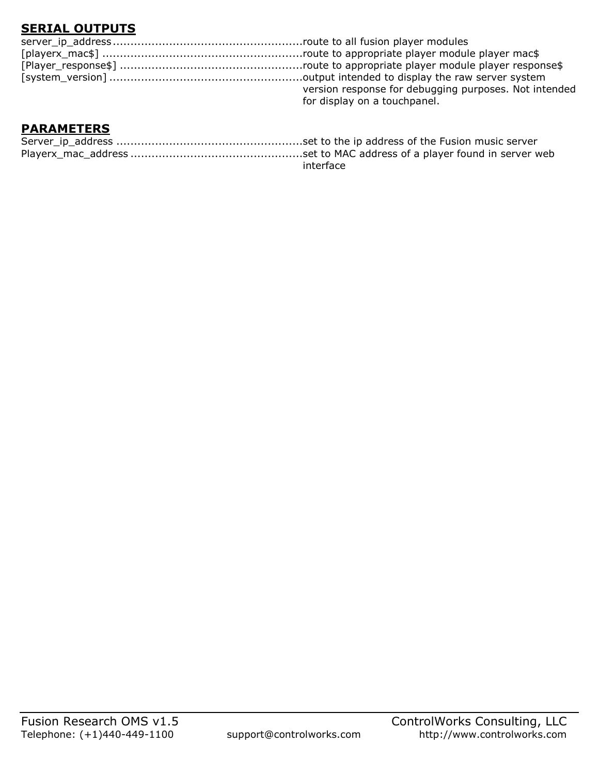# **SERIAL OUTPUTS**

| version response for debugging purposes. Not intended |
|-------------------------------------------------------|
| for display on a touchpanel.                          |

## **PARAMETERS**

| interface |
|-----------|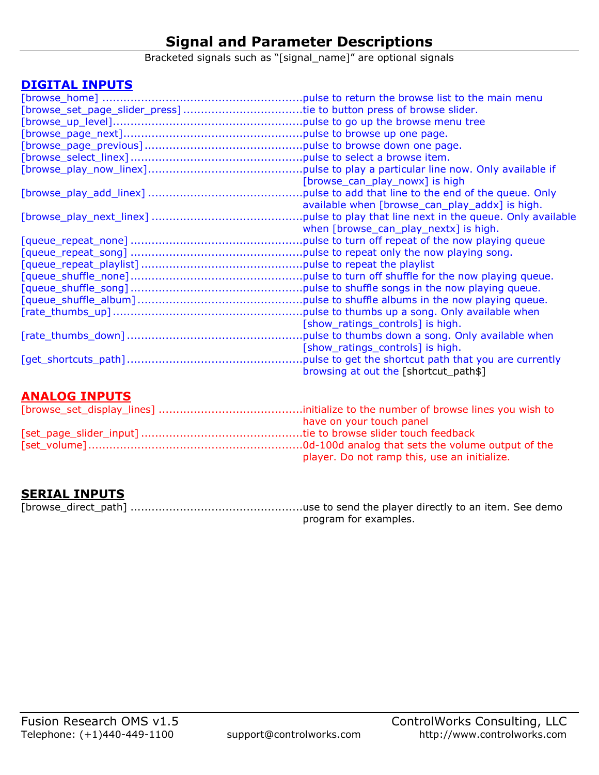# **Signal and Parameter Descriptions**

Bracketed signals such as "[signal\_name]" are optional signals

## **DIGITAL INPUTS**

| [browse_set_page_slider_press] tie to button press of browse slider. |                                                           |
|----------------------------------------------------------------------|-----------------------------------------------------------|
|                                                                      |                                                           |
|                                                                      |                                                           |
|                                                                      |                                                           |
|                                                                      |                                                           |
|                                                                      | pulse to play a particular line now. Only available if    |
|                                                                      | [browse_can_play_nowx] is high                            |
|                                                                      | pulse to add that line to the end of the queue. Only      |
|                                                                      | available when [browse_can_play_addx] is high.            |
|                                                                      | pulse to play that line next in the queue. Only available |
|                                                                      | when [browse_can_play_nextx] is high.                     |
|                                                                      |                                                           |
|                                                                      |                                                           |
|                                                                      |                                                           |
|                                                                      | .pulse to turn off shuffle for the now playing queue.     |
|                                                                      | .pulse to shuffle songs in the now playing queue.         |
|                                                                      | pulse to shuffle albums in the now playing queue.         |
|                                                                      | pulse to thumbs up a song. Only available when            |
|                                                                      | [show_ratings_controls] is high.                          |
|                                                                      | pulse to thumbs down a song. Only available when          |
|                                                                      | [show_ratings_controls] is high.                          |
|                                                                      | pulse to get the shortcut path that you are currently     |
|                                                                      | browsing at out the [shortcut_path\$]                     |

#### **ANALOG INPUTS**

| have on your touch panel                     |
|----------------------------------------------|
|                                              |
|                                              |
| player. Do not ramp this, use an initialize. |

## **SERIAL INPUTS**

program for examples.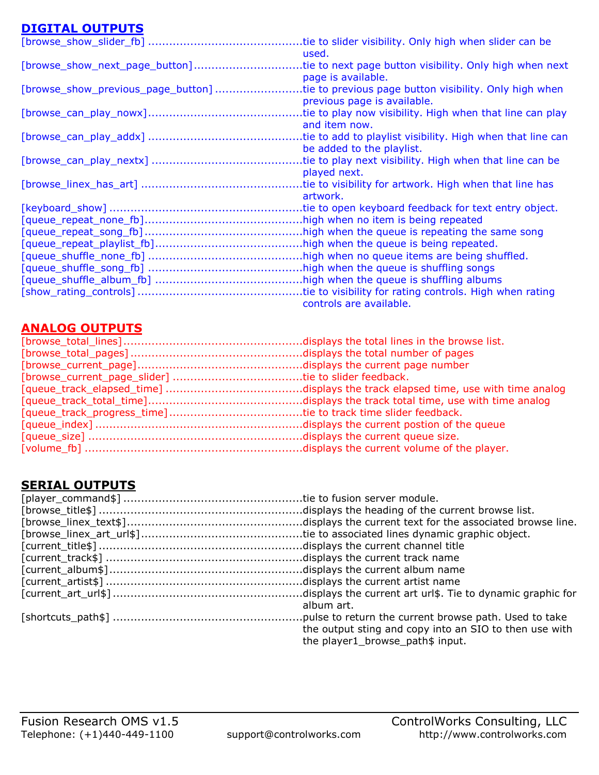# **DIGITAL OUTPUTS**

| P1911IL 9911 919                   |                                                             |
|------------------------------------|-------------------------------------------------------------|
|                                    | tie to slider visibility. Only high when slider can be      |
|                                    | used.                                                       |
| [browse_show_next_page_button]     | tie to next page button visibility. Only high when next     |
|                                    | page is available.                                          |
| [browse_show_previous_page_button] | tie to previous page button visibility. Only high when      |
|                                    | previous page is available.                                 |
|                                    |                                                             |
|                                    | tie to play now visibility. High when that line can play    |
|                                    | and item now.                                               |
|                                    | tie to add to playlist visibility. High when that line can. |
|                                    | be added to the playlist.                                   |
|                                    | tie to play next visibility. High when that line can be     |
|                                    | played next.                                                |
|                                    |                                                             |
|                                    |                                                             |
|                                    | artwork.                                                    |
|                                    |                                                             |
|                                    |                                                             |
|                                    |                                                             |
|                                    |                                                             |
|                                    |                                                             |
|                                    |                                                             |
|                                    | high when the queue is shuffling songs                      |
|                                    |                                                             |
|                                    |                                                             |
|                                    | controls are available.                                     |
|                                    |                                                             |

## **ANALOG OUTPUTS**

## **SERIAL OUTPUTS**

| album art.                                             |
|--------------------------------------------------------|
|                                                        |
| the output sting and copy into an SIO to then use with |
| the player1_browse_path\$ input.                       |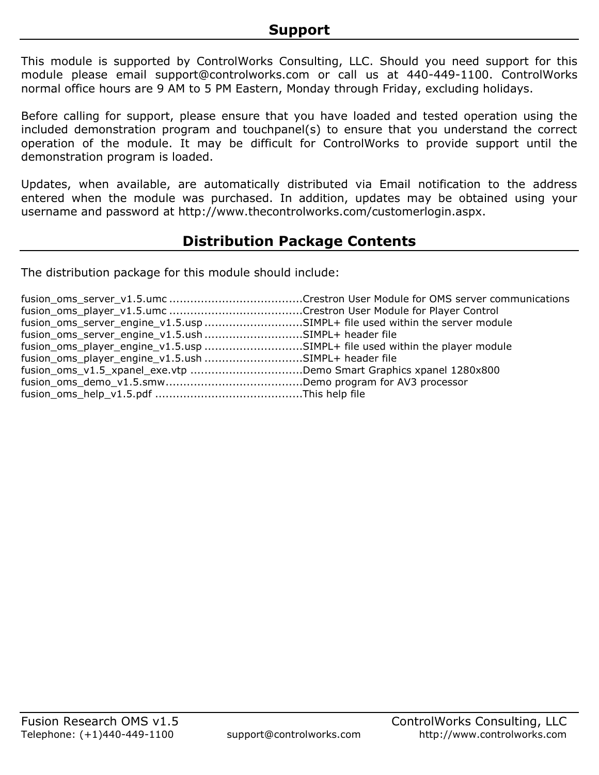This module is supported by ControlWorks Consulting, LLC. Should you need support for this module please email support@controlworks.com or call us at 440-449-1100. ControlWorks normal office hours are 9 AM to 5 PM Eastern, Monday through Friday, excluding holidays.

Before calling for support, please ensure that you have loaded and tested operation using the included demonstration program and touchpanel(s) to ensure that you understand the correct operation of the module. It may be difficult for ControlWorks to provide support until the demonstration program is loaded.

Updates, when available, are automatically distributed via Email notification to the address entered when the module was purchased. In addition, updates may be obtained using your username and password at http://www.thecontrolworks.com/customerlogin.aspx.

# **Distribution Package Contents**

The distribution package for this module should include:

| fusion_oms_server_engine_v1.5.usp SIMPL+ file used within the server module |  |
|-----------------------------------------------------------------------------|--|
| fusion_oms_server_engine_v1.5.ush SIMPL+ header file                        |  |
| fusion_oms_player_engine_v1.5.usp SIMPL+ file used within the player module |  |
| fusion_oms_player_engine_v1.5.ush SIMPL+ header file                        |  |
| fusion_oms_v1.5_xpanel_exe.vtp Demo Smart Graphics xpanel 1280x800          |  |
|                                                                             |  |
|                                                                             |  |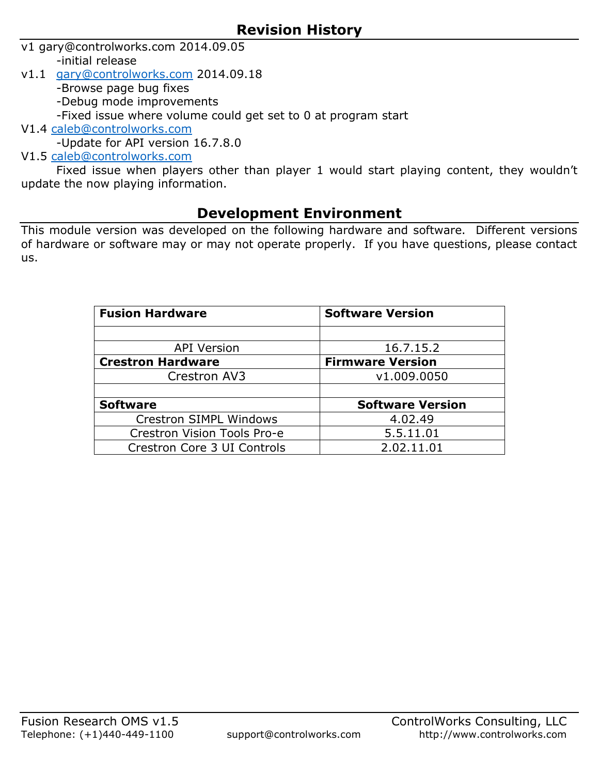- v1 gary@controlworks.com 2014.09.05
	- -initial release
- v1.1 [gary@controlworks.com](mailto:gary@controlworks.com) 2014.09.18
	- -Browse page bug fixes
	- -Debug mode improvements
	- -Fixed issue where volume could get set to 0 at program start
- V1.4 [caleb@controlworks.com](mailto:caleb@controlworks.com)
- -Update for API version 16.7.8.0
- V1.5 [caleb@controlworks.com](mailto:caleb@controlworks.com)

Fixed issue when players other than player 1 would start playing content, they wouldn't update the now playing information.

# **Development Environment**

This module version was developed on the following hardware and software. Different versions of hardware or software may or may not operate properly. If you have questions, please contact us.

| <b>Fusion Hardware</b>        | <b>Software Version</b> |
|-------------------------------|-------------------------|
|                               |                         |
| <b>API Version</b>            | 16.7.15.2               |
| <b>Crestron Hardware</b>      | <b>Firmware Version</b> |
| Crestron AV3                  | v1.009.0050             |
|                               |                         |
| <b>Software</b>               | <b>Software Version</b> |
| <b>Crestron SIMPL Windows</b> | 4.02.49                 |
| Crestron Vision Tools Pro-e   | 5.5.11.01               |
| Crestron Core 3 UI Controls   | 2.02.11.01              |